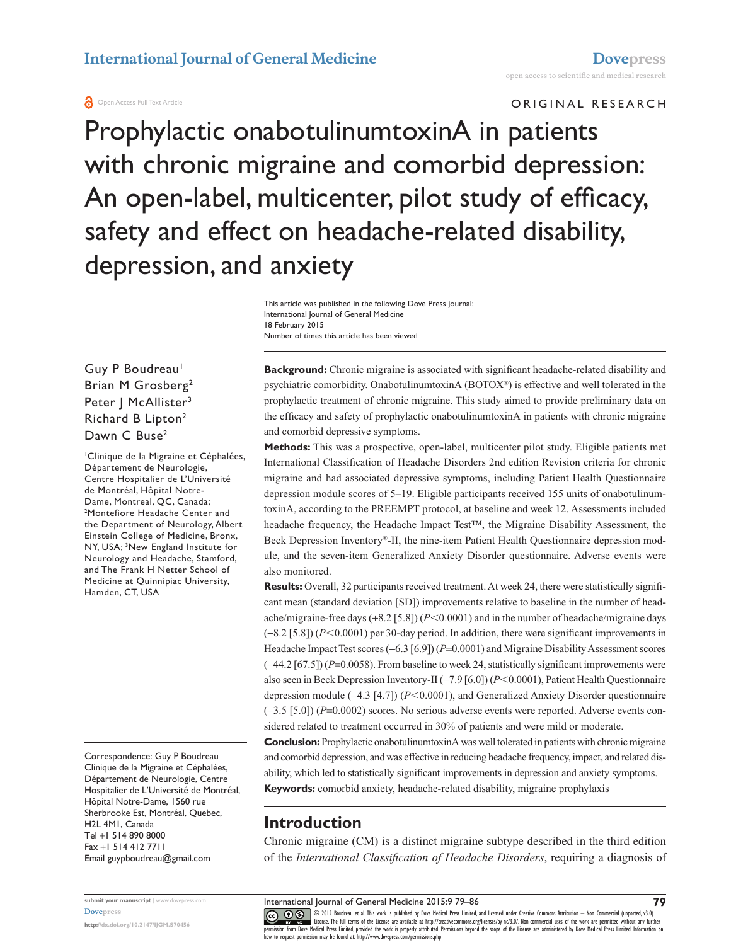#### **O** Open Access Full Text Article

#### ORIGINAL RESEARCH

Prophylactic onabotulinumtoxinA in patients with chronic migraine and comorbid depression: An open-label, multicenter, pilot study of efficacy, safety and effect on headache-related disability, depression, and anxiety

> Number of times this article has been viewed This article was published in the following Dove Press journal: International Journal of General Medicine 18 February 2015

Guy P Boudreau<sup>1</sup> Brian M Grosberg2 Peter | McAllister<sup>3</sup> Richard B Lipton2 Dawn C Buse<sup>2</sup>

1 Clinique de la Migraine et Céphalées, Département de Neurologie, Centre Hospitalier de L'Université de Montréal, Hôpital Notre-Dame, Montreal, QC, Canada; 2 Montefiore Headache Center and the Department of Neurology, Albert Einstein College of Medicine, Bronx, NY, USA; <sup>3</sup>New England Institute for Neurology and Headache, Stamford, and The Frank H Netter School of Medicine at Quinnipiac University, Hamden, CT, USA

Correspondence: Guy P Boudreau Clinique de la Migraine et Céphalées, Département de Neurologie, Centre Hospitalier de L'Université de Montréal, Hôpital Notre-Dame, 1560 rue Sherbrooke Est, Montréal, Quebec, H2L 4M1, Canada Tel +1 514 890 8000 Fax +1 514 412 7711 Email [guypboudreau@gmail.com](mailto:guypboudreau@gmail.com)

**submit your manuscript** | <www.dovepress.com>

**<http://dx.doi.org/10.2147/IJGM.S70456>**

**[Dovepress](www.dovepress.com)**

**Background:** Chronic migraine is associated with significant headache-related disability and psychiatric comorbidity. OnabotulinumtoxinA (BOTOX®) is effective and well tolerated in the prophylactic treatment of chronic migraine. This study aimed to provide preliminary data on the efficacy and safety of prophylactic onabotulinumtoxinA in patients with chronic migraine and comorbid depressive symptoms.

**Methods:** This was a prospective, open-label, multicenter pilot study. Eligible patients met International Classification of Headache Disorders 2nd edition Revision criteria for chronic migraine and had associated depressive symptoms, including Patient Health Questionnaire depression module scores of 5–19. Eligible participants received 155 units of onabotulinumtoxinA, according to the PREEMPT protocol, at baseline and week 12. Assessments included headache frequency, the Headache Impact Test™, the Migraine Disability Assessment, the Beck Depression Inventory®-II, the nine-item Patient Health Questionnaire depression module, and the seven-item Generalized Anxiety Disorder questionnaire. Adverse events were also monitored.

**Results:** Overall, 32 participants received treatment. At week 24, there were statistically significant mean (standard deviation [SD]) improvements relative to baseline in the number of headache/migraine-free days  $(+8.2 \, [5.8])$   $(P<0.0001)$  and in the number of headache/migraine days (−8.2 [5.8]) (*P*,0.0001) per 30-day period. In addition, there were significant improvements in Headache Impact Test scores (−6.3 [6.9]) (*P*=0.0001) and Migraine Disability Assessment scores (−44.2 [67.5]) (*P*=0.0058). From baseline to week 24, statistically significant improvements were also seen in Beck Depression Inventory-II (−7.9 [6.0]) (*P*,0.0001), Patient Health Questionnaire depression module (−4.3 [4.7]) (*P*<0.0001), and Generalized Anxiety Disorder questionnaire (−3.5 [5.0]) (*P*=0.0002) scores. No serious adverse events were reported. Adverse events considered related to treatment occurred in 30% of patients and were mild or moderate.

**Conclusion:** Prophylactic onabotulinumtoxinA was well tolerated in patients with chronic migraine and comorbid depression, and was effective in reducing headache frequency, impact, and related disability, which led to statistically significant improvements in depression and anxiety symptoms. **Keywords:** comorbid anxiety, headache-related disability, migraine prophylaxis

# **Introduction**

Chronic migraine (CM) is a distinct migraine subtype described in the third edition of the *International Classification of Headache Disorders*, requiring a diagnosis of

CO ODIS Boudreau et al. This work is published by Dove Medical Press Limited, and licensed under Creative Commons Attribution - Non Commercial (unported, v3.0)<br> [permission from Dove M](http://www.dovepress.com/permissions.php)edical Press Limited, provided the work how to request permission may be found at:<http://www.dovepress.com/permissions.php>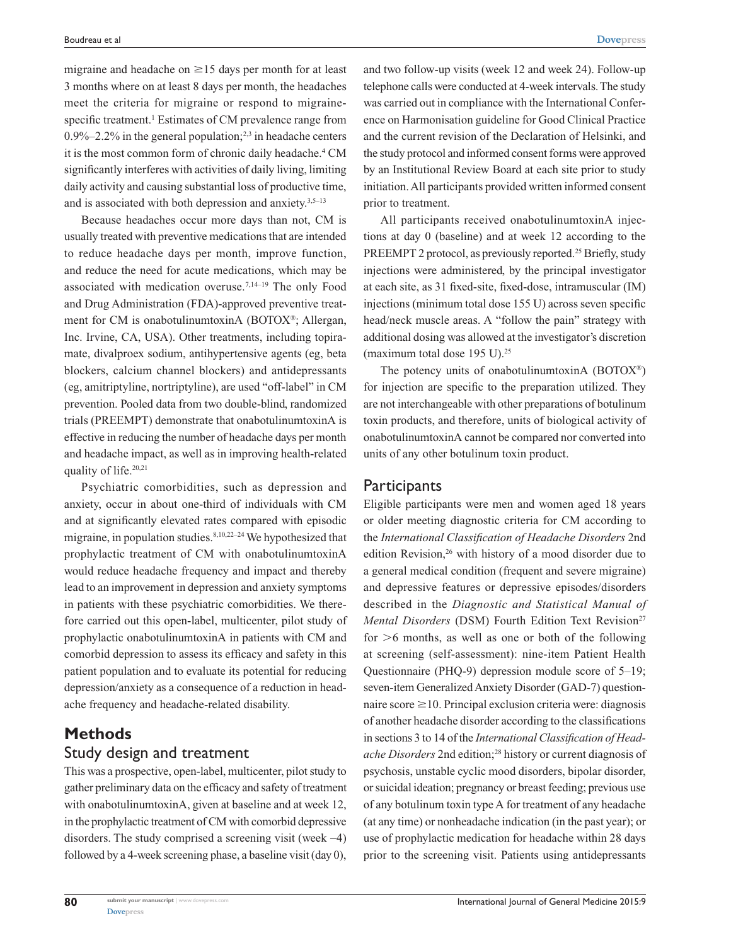migraine and headache on  $\geq$ 15 days per month for at least 3 months where on at least 8 days per month, the headaches meet the criteria for migraine or respond to migrainespecific treatment.<sup>1</sup> Estimates of CM prevalence range from  $0.9\%$ –2.2% in the general population;<sup>2,3</sup> in headache centers it is the most common form of chronic daily headache.<sup>4</sup> CM significantly interferes with activities of daily living, limiting daily activity and causing substantial loss of productive time, and is associated with both depression and anxiety.<sup>3,5–13</sup>

Because headaches occur more days than not, CM is usually treated with preventive medications that are intended to reduce headache days per month, improve function, and reduce the need for acute medications, which may be associated with medication overuse.7,14–19 The only Food and Drug Administration (FDA)-approved preventive treatment for CM is onabotulinumtoxinA (BOTOX®; Allergan, Inc. Irvine, CA, USA). Other treatments, including topiramate, divalproex sodium, antihypertensive agents (eg, beta blockers, calcium channel blockers) and antidepressants (eg, amitriptyline, nortriptyline), are used "off-label" in CM prevention. Pooled data from two double-blind, randomized trials (PREEMPT) demonstrate that onabotulinumtoxinA is effective in reducing the number of headache days per month and headache impact, as well as in improving health-related quality of life.20,21

Psychiatric comorbidities, such as depression and anxiety, occur in about one-third of individuals with CM and at significantly elevated rates compared with episodic migraine, in population studies.<sup>8,10,22-24</sup> We hypothesized that prophylactic treatment of CM with onabotulinumtoxinA would reduce headache frequency and impact and thereby lead to an improvement in depression and anxiety symptoms in patients with these psychiatric comorbidities. We therefore carried out this open-label, multicenter, pilot study of prophylactic onabotulinumtoxinA in patients with CM and comorbid depression to assess its efficacy and safety in this patient population and to evaluate its potential for reducing depression/anxiety as a consequence of a reduction in headache frequency and headache-related disability.

## **Methods** Study design and treatment

This was a prospective, open-label, multicenter, pilot study to gather preliminary data on the efficacy and safety of treatment with onabotulinumtoxinA, given at baseline and at week 12, in the prophylactic treatment of CM with comorbid depressive disorders. The study comprised a screening visit (week −4) followed by a 4-week screening phase, a baseline visit (day 0),

and two follow-up visits (week 12 and week 24). Follow-up telephone calls were conducted at 4-week intervals. The study was carried out in compliance with the International Conference on Harmonisation guideline for Good Clinical Practice and the current revision of the Declaration of Helsinki, and the study protocol and informed consent forms were approved by an Institutional Review Board at each site prior to study initiation. All participants provided written informed consent prior to treatment.

All participants received onabotulinumtoxinA injections at day 0 (baseline) and at week 12 according to the PREEMPT 2 protocol, as previously reported.<sup>25</sup> Briefly, study injections were administered, by the principal investigator at each site, as 31 fixed-site, fixed-dose, intramuscular (IM) injections (minimum total dose 155 U) across seven specific head/neck muscle areas. A "follow the pain" strategy with additional dosing was allowed at the investigator's discretion (maximum total dose 195 U).25

The potency units of onabotulinumtoxinA  $(BOTOX^*)$ for injection are specific to the preparation utilized. They are not interchangeable with other preparations of botulinum toxin products, and therefore, units of biological activity of onabotulinumtoxinA cannot be compared nor converted into units of any other botulinum toxin product.

### **Participants**

Eligible participants were men and women aged 18 years or older meeting diagnostic criteria for CM according to the *International Classification of Headache Disorders* 2nd edition Revision,<sup>26</sup> with history of a mood disorder due to a general medical condition (frequent and severe migraine) and depressive features or depressive episodes/disorders described in the *Diagnostic and Statistical Manual of Mental Disorders* (DSM) Fourth Edition Text Revision<sup>27</sup> for  $>6$  months, as well as one or both of the following at screening (self-assessment): nine-item Patient Health Questionnaire (PHQ-9) depression module score of 5–19; seven-item Generalized Anxiety Disorder (GAD-7) questionnaire score  $\geq$ 10. Principal exclusion criteria were: diagnosis of another headache disorder according to the classifications in sections 3 to 14 of the *International Classification of Headache Disorders* 2nd edition;28 history or current diagnosis of psychosis, unstable cyclic mood disorders, bipolar disorder, or suicidal ideation; pregnancy or breast feeding; previous use of any botulinum toxin type A for treatment of any headache (at any time) or nonheadache indication (in the past year); or use of prophylactic medication for headache within 28 days prior to the screening visit. Patients using antidepressants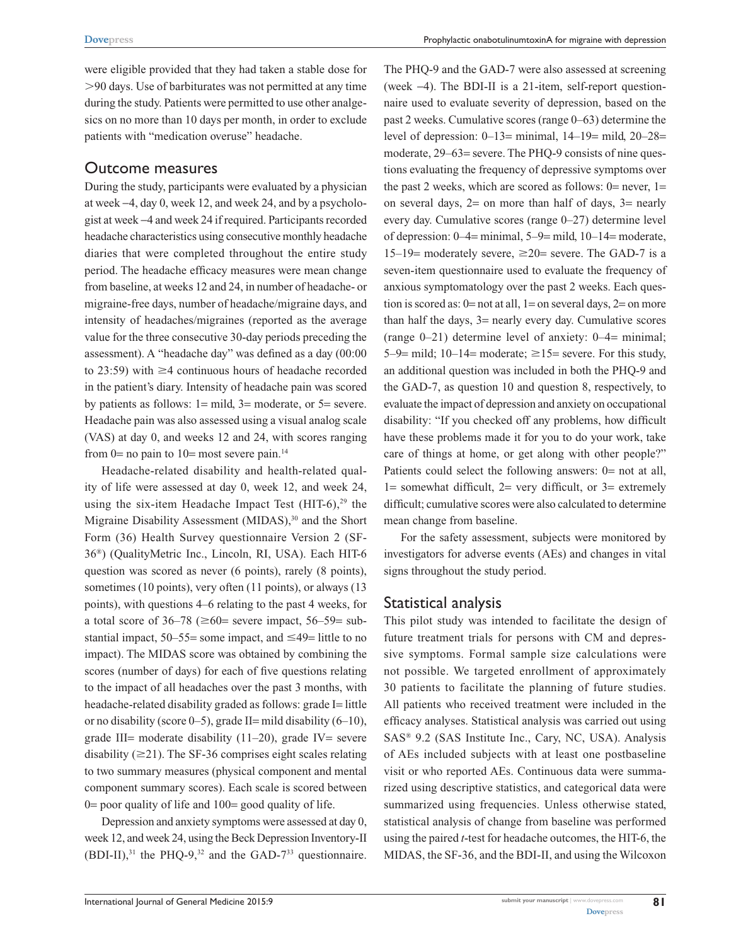were eligible provided that they had taken a stable dose for .90 days. Use of barbiturates was not permitted at any time during the study. Patients were permitted to use other analgesics on no more than 10 days per month, in order to exclude patients with "medication overuse" headache.

## Outcome measures

During the study, participants were evaluated by a physician at week −4, day 0, week 12, and week 24, and by a psychologist at week −4 and week 24 if required. Participants recorded headache characteristics using consecutive monthly headache diaries that were completed throughout the entire study period. The headache efficacy measures were mean change from baseline, at weeks 12 and 24, in number of headache- or migraine-free days, number of headache/migraine days, and intensity of headaches/migraines (reported as the average value for the three consecutive 30-day periods preceding the assessment). A "headache day" was defined as a day (00:00 to 23:59) with  $\geq$ 4 continuous hours of headache recorded in the patient's diary. Intensity of headache pain was scored by patients as follows: 1= mild, 3= moderate, or 5= severe. Headache pain was also assessed using a visual analog scale (VAS) at day 0, and weeks 12 and 24, with scores ranging from 0= no pain to  $10$ = most severe pain.<sup>14</sup>

Headache-related disability and health-related quality of life were assessed at day 0, week 12, and week 24, using the six-item Headache Impact Test  $(HIT-6)$ ,<sup>29</sup> the Migraine Disability Assessment (MIDAS),<sup>30</sup> and the Short Form (36) Health Survey questionnaire Version 2 (SF-36®) (QualityMetric Inc., Lincoln, RI, USA). Each HIT-6 question was scored as never (6 points), rarely (8 points), sometimes (10 points), very often (11 points), or always (13 points), with questions 4–6 relating to the past 4 weeks, for a total score of  $36-78$  ( $\geq 60$  = severe impact,  $56-59$  = substantial impact,  $50-55=$  some impact, and  $\leq 49=$  little to no impact). The MIDAS score was obtained by combining the scores (number of days) for each of five questions relating to the impact of all headaches over the past 3 months, with headache-related disability graded as follows: grade I= little or no disability (score  $0-5$ ), grade II= mild disability (6–10), grade III= moderate disability  $(11–20)$ , grade IV= severe disability  $(\geq 21)$ . The SF-36 comprises eight scales relating to two summary measures (physical component and mental component summary scores). Each scale is scored between  $0$ = poor quality of life and  $100$ = good quality of life.

Depression and anxiety symptoms were assessed at day 0, week 12, and week 24, using the Beck Depression Inventory-II  $(BDI-II)$ ,<sup>31</sup> the PHQ-9,<sup>32</sup> and the GAD-7<sup>33</sup> questionnaire.

The PHQ-9 and the GAD-7 were also assessed at screening (week −4). The BDI-II is a 21-item, self-report questionnaire used to evaluate severity of depression, based on the past 2 weeks. Cumulative scores (range 0–63) determine the level of depression: 0–13= minimal, 14–19= mild, 20–28= moderate, 29–63= severe. The PHQ-9 consists of nine questions evaluating the frequency of depressive symptoms over the past 2 weeks, which are scored as follows:  $0=$  never,  $1=$ on several days, 2= on more than half of days, 3= nearly every day. Cumulative scores (range 0–27) determine level of depression: 0–4= minimal, 5–9= mild, 10–14= moderate, 15–19= moderately severe,  $\geq$ 20= severe. The GAD-7 is a seven-item questionnaire used to evaluate the frequency of anxious symptomatology over the past 2 weeks. Each question is scored as: 0= not at all, 1= on several days, 2= on more than half the days, 3= nearly every day. Cumulative scores (range 0–21) determine level of anxiety: 0–4= minimal; 5–9= mild; 10–14= moderate;  $\geq$ 15= severe. For this study, an additional question was included in both the PHQ-9 and the GAD-7, as question 10 and question 8, respectively, to evaluate the impact of depression and anxiety on occupational disability: "If you checked off any problems, how difficult have these problems made it for you to do your work, take care of things at home, or get along with other people?" Patients could select the following answers: 0= not at all, 1= somewhat difficult, 2= very difficult, or 3= extremely difficult; cumulative scores were also calculated to determine mean change from baseline.

For the safety assessment, subjects were monitored by investigators for adverse events (AEs) and changes in vital signs throughout the study period.

## Statistical analysis

This pilot study was intended to facilitate the design of future treatment trials for persons with CM and depressive symptoms. Formal sample size calculations were not possible. We targeted enrollment of approximately 30 patients to facilitate the planning of future studies. All patients who received treatment were included in the efficacy analyses. Statistical analysis was carried out using SAS® 9.2 (SAS Institute Inc., Cary, NC, USA). Analysis of AEs included subjects with at least one postbaseline visit or who reported AEs. Continuous data were summarized using descriptive statistics, and categorical data were summarized using frequencies. Unless otherwise stated, statistical analysis of change from baseline was performed using the paired *t*-test for headache outcomes, the HIT-6, the MIDAS, the SF-36, and the BDI-II, and using the Wilcoxon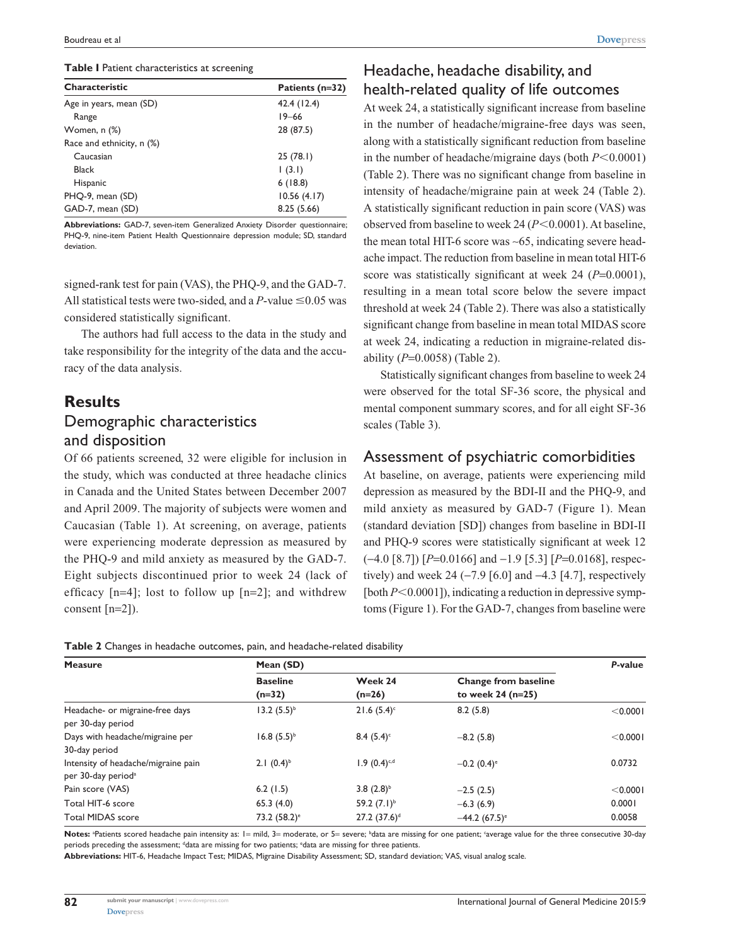**Table I** Patient characteristics at screening

| Patients (n=32) |
|-----------------|
| 42.4 (12.4)     |
| $19 - 66$       |
| 28 (87.5)       |
|                 |
| 25 (78.1)       |
| (3.1)           |
| 6(18.8)         |
| 10.56(4.17)     |
| 8.25(5.66)      |
|                 |

**Abbreviations:** GAD-7, seven-item Generalized Anxiety Disorder questionnaire; PHQ-9, nine-item Patient Health Questionnaire depression module; SD, standard deviation.

signed-rank test for pain (VAS), the PHQ-9, and the GAD-7. All statistical tests were two-sided, and a  $P$ -value  $\leq 0.05$  was considered statistically significant.

The authors had full access to the data in the study and take responsibility for the integrity of the data and the accuracy of the data analysis.

## **Results** Demographic characteristics and disposition

Of 66 patients screened, 32 were eligible for inclusion in the study, which was conducted at three headache clinics in Canada and the United States between December 2007 and April 2009. The majority of subjects were women and Caucasian (Table 1). At screening, on average, patients were experiencing moderate depression as measured by the PHQ-9 and mild anxiety as measured by the GAD-7. Eight subjects discontinued prior to week 24 (lack of efficacy  $[n=4]$ ; lost to follow up  $[n=2]$ ; and withdrew consent [n=2]).

# Headache, headache disability, and health-related quality of life outcomes

At week 24, a statistically significant increase from baseline in the number of headache/migraine-free days was seen, along with a statistically significant reduction from baseline in the number of headache/migraine days (both  $P < 0.0001$ ) (Table 2). There was no significant change from baseline in intensity of headache/migraine pain at week 24 (Table 2). A statistically significant reduction in pain score (VAS) was observed from baseline to week 24 (*P*<0.0001). At baseline, the mean total HIT-6 score was ∼65, indicating severe headache impact. The reduction from baseline in mean total HIT-6 score was statistically significant at week 24 ( $P=0.0001$ ), resulting in a mean total score below the severe impact threshold at week 24 (Table 2). There was also a statistically significant change from baseline in mean total MIDAS score at week 24, indicating a reduction in migraine-related disability (*P*=0.0058) (Table 2).

Statistically significant changes from baseline to week 24 were observed for the total SF-36 score, the physical and mental component summary scores, and for all eight SF-36 scales (Table 3).

### Assessment of psychiatric comorbidities

At baseline, on average, patients were experiencing mild depression as measured by the BDI-II and the PHQ-9, and mild anxiety as measured by GAD-7 (Figure 1). Mean (standard deviation [SD]) changes from baseline in BDI-II and PHQ-9 scores were statistically significant at week 12 (−4.0 [8.7]) [*P*=0.0166] and −1.9 [5.3] [*P*=0.0168], respectively) and week  $24$  (−7.9 [6.0] and −4.3 [4.7], respectively [both  $P \le 0.0001$ ]), indicating a reduction in depressive symptoms (Figure 1). For the GAD-7, changes from baseline were

| Table 2 Changes in headache outcomes, pain, and headache-related disability |  |
|-----------------------------------------------------------------------------|--|
|-----------------------------------------------------------------------------|--|

| <b>Measure</b>                      | Mean (SD)                                          |                           |                                           | P-value  |
|-------------------------------------|----------------------------------------------------|---------------------------|-------------------------------------------|----------|
|                                     | <b>Baseline</b><br>Week 24<br>$(n=32)$<br>$(n=26)$ |                           | Change from baseline<br>to week 24 (n=25) |          |
|                                     |                                                    |                           |                                           |          |
| Headache- or migraine-free days     | $13.2 (5.5)^{b}$                                   | 21.6(5.4)                 | 8.2(5.8)                                  | < 0.0001 |
| per 30-day period                   |                                                    |                           |                                           |          |
| Days with headache/migraine per     | $16.8~(5.5)^{b}$                                   | 8.4 $(5.4)^c$             | $-8.2(5.8)$                               | < 0.0001 |
| 30-day period                       |                                                    |                           |                                           |          |
| Intensity of headache/migraine pain | 2.1 $(0.4)^{b}$                                    | $1.9(0.4)$ <sup>c,d</sup> | $-0.2$ (0.4) <sup>e</sup>                 | 0.0732   |
| per 30-day period <sup>a</sup>      |                                                    |                           |                                           |          |
| Pain score (VAS)                    | 6.2(1.5)                                           | $3.8(2.8)^{b}$            | $-2.5(2.5)$                               | < 0.0001 |
| Total HIT-6 score                   | 65.3(4.0)                                          | 59.2 $(7.1)^{b}$          | $-6.3(6.9)$                               | 0.0001   |
| <b>Total MIDAS</b> score            | 73.2 (58.2) <sup>e</sup>                           | $27.2(37.6)^d$            | $-44.2$ (67.5) <sup>e</sup>               | 0.0058   |

Notes: <sup>ap</sup>atients scored headache pain intensity as: 1= mild, 3= moderate, or 5= severe; <sup>b</sup>data are missing for one patient; 'average value for the three consecutive 30-day periods preceding the assessment; <sup>d</sup>data are missing for two patients; <sup>e</sup>data are missing for three patients.

**Abbreviations:** HIT-6, Headache Impact Test; MIDAS, Migraine Disability Assessment; SD, standard deviation; VAS, visual analog scale.

**82**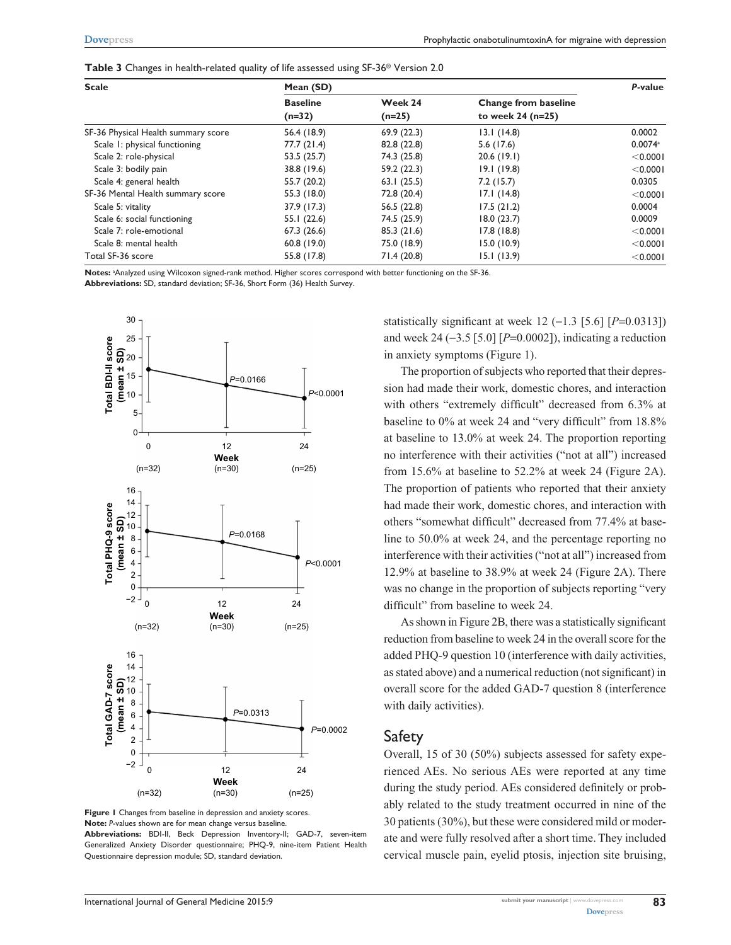| <b>Scale</b>                        | Mean (SD)                   |                     |                                                        | P-value               |
|-------------------------------------|-----------------------------|---------------------|--------------------------------------------------------|-----------------------|
|                                     | <b>Baseline</b><br>$(n=32)$ | Week 24<br>$(n=25)$ | <b>Change from baseline</b><br>to week $24$ (n= $25$ ) |                       |
| SF-36 Physical Health summary score | 56.4 (18.9)                 | 69.9(22.3)          | 13.1(14.8)                                             | 0.0002                |
| Scale 1: physical functioning       | 77.7 (21.4)                 | 82.8 (22.8)         | 5.6(17.6)                                              | $0.0074$ <sup>a</sup> |
| Scale 2: role-physical              | 53.5 (25.7)                 | 74.3 (25.8)         | 20.6(19.1)                                             | < 0.0001              |
| Scale 3: bodily pain                | 38.8 (19.6)                 | 59.2 (22.3)         | 19.1(19.8)                                             | $<$ 0.000 l           |
| Scale 4: general health             | 55.7 (20.2)                 | 63.1(25.5)          | 7.2(15.7)                                              | 0.0305                |
| SF-36 Mental Health summary score   | 55.3 (18.0)                 | 72.8 (20.4)         | 17.1(14.8)                                             | < 0.0001              |
| Scale 5: vitality                   | 37.9 (17.3)                 | 56.5 (22.8)         | 17.5(21.2)                                             | 0.0004                |
| Scale 6: social functioning         | 55.1 (22.6)                 | 74.5 (25.9)         | 18.0(23.7)                                             | 0.0009                |
| Scale 7: role-emotional             | 67.3(26.6)                  | 85.3(21.6)          | 17.8(18.8)                                             | < 0.0001              |
| Scale 8: mental health              | 60.8(19.0)                  | 75.0 (18.9)         | 15.0(10.9)                                             | < 0.0001              |
| Total SF-36 score                   | 55.8 (17.8)                 | 71.4 (20.8)         | 15.1(13.9)                                             | $<$ 0.000 l           |

Notes: <sup>a</sup>Analyzed using Wilcoxon signed-rank method. Higher scores correspond with better functioning on the SF-36.

**Abbreviations:** SD, standard deviation; SF-36, Short Form (36) Health Survey.





**Abbreviations:** BDI-II, Beck Depression Inventory-II; GAD-7, seven-item Generalized Anxiety Disorder questionnaire; PHQ-9, nine-item Patient Health Questionnaire depression module; SD, standard deviation.

statistically significant at week 12 (−1.3 [5.6] [*P*=0.0313]) and week 24 (−3.5 [5.0] [*P*=0.0002]), indicating a reduction in anxiety symptoms (Figure 1).

The proportion of subjects who reported that their depression had made their work, domestic chores, and interaction with others "extremely difficult" decreased from 6.3% at baseline to 0% at week 24 and "very difficult" from 18.8% at baseline to 13.0% at week 24. The proportion reporting no interference with their activities ("not at all") increased from 15.6% at baseline to 52.2% at week 24 (Figure 2A). The proportion of patients who reported that their anxiety had made their work, domestic chores, and interaction with others "somewhat difficult" decreased from 77.4% at baseline to 50.0% at week 24, and the percentage reporting no interference with their activities ("not at all") increased from 12.9% at baseline to 38.9% at week 24 (Figure 2A). There was no change in the proportion of subjects reporting "very difficult" from baseline to week 24.

As shown in Figure 2B, there was a statistically significant reduction from baseline to week 24 in the overall score for the added PHQ-9 question 10 (interference with daily activities, as stated above) and a numerical reduction (not significant) in overall score for the added GAD-7 question 8 (interference with daily activities).

#### Safety

Overall, 15 of 30 (50%) subjects assessed for safety experienced AEs. No serious AEs were reported at any time during the study period. AEs considered definitely or probably related to the study treatment occurred in nine of the 30 patients (30%), but these were considered mild or moderate and were fully resolved after a short time. They included cervical muscle pain, eyelid ptosis, injection site bruising,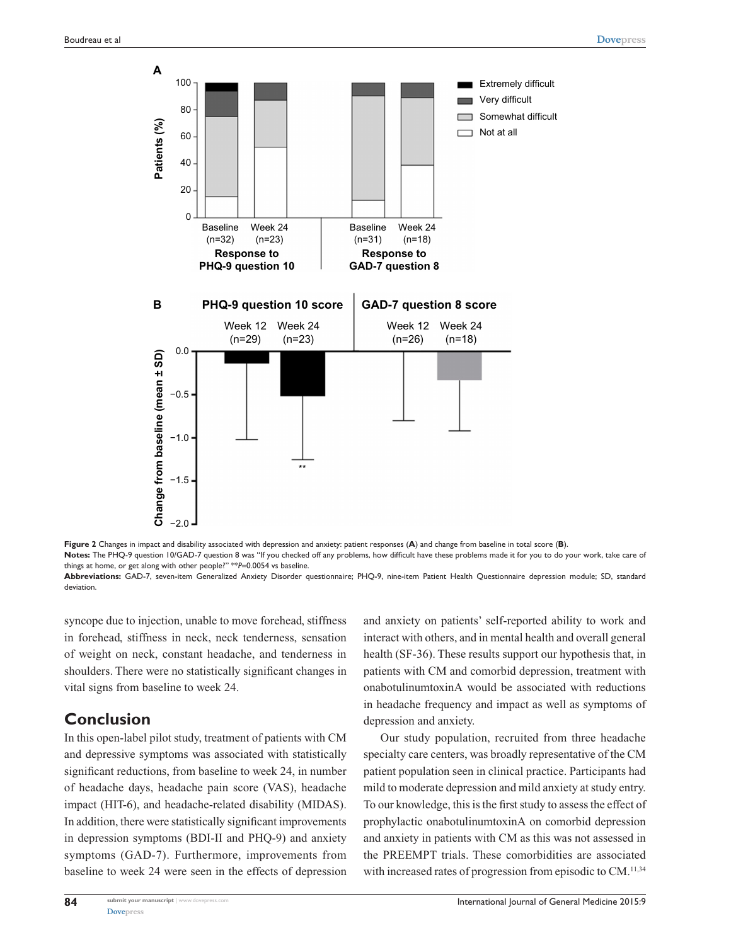

**Figure 2** Changes in impact and disability associated with depression and anxiety: patient responses (**A**) and change from baseline in total score (**B**). **Notes:** The PHQ-9 question 10/GAD-7 question 8 was "If you checked off any problems, how difficult have these problems made it for you to do your work, take care of things at home, or get along with other people?" \*\**P*=0.0054 vs baseline.

**Abbreviations:** GAD-7, seven-item Generalized Anxiety Disorder questionnaire; PHQ-9, nine-item Patient Health Questionnaire depression module; SD, standard deviation.

syncope due to injection, unable to move forehead, stiffness in forehead, stiffness in neck, neck tenderness, sensation of weight on neck, constant headache, and tenderness in shoulders. There were no statistically significant changes in vital signs from baseline to week 24.

## **Conclusion**

In this open-label pilot study, treatment of patients with CM and depressive symptoms was associated with statistically significant reductions, from baseline to week 24, in number of headache days, headache pain score (VAS), headache impact (HIT-6), and headache-related disability (MIDAS). In addition, there were statistically significant improvements in depression symptoms (BDI-II and PHQ-9) and anxiety symptoms (GAD-7). Furthermore, improvements from baseline to week 24 were seen in the effects of depression and anxiety on patients' self-reported ability to work and interact with others, and in mental health and overall general health (SF-36). These results support our hypothesis that, in patients with CM and comorbid depression, treatment with onabotulinumtoxinA would be associated with reductions in headache frequency and impact as well as symptoms of depression and anxiety.

Our study population, recruited from three headache specialty care centers, was broadly representative of the CM patient population seen in clinical practice. Participants had mild to moderate depression and mild anxiety at study entry. To our knowledge, this is the first study to assess the effect of prophylactic onabotulinumtoxinA on comorbid depression and anxiety in patients with CM as this was not assessed in the PREEMPT trials. These comorbidities are associated with increased rates of progression from episodic to CM.<sup>11,34</sup>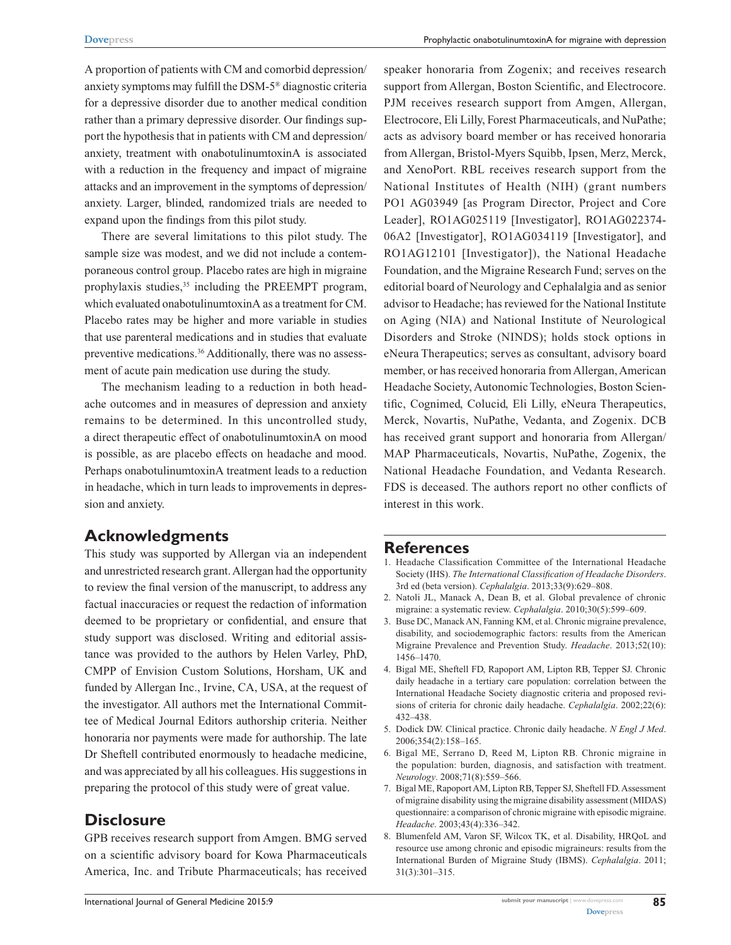A proportion of patients with CM and comorbid depression/ anxiety symptoms may fulfill the DSM-5® diagnostic criteria for a depressive disorder due to another medical condition rather than a primary depressive disorder. Our findings support the hypothesis that in patients with CM and depression/ anxiety, treatment with onabotulinumtoxinA is associated with a reduction in the frequency and impact of migraine attacks and an improvement in the symptoms of depression/ anxiety. Larger, blinded, randomized trials are needed to expand upon the findings from this pilot study.

There are several limitations to this pilot study. The sample size was modest, and we did not include a contemporaneous control group. Placebo rates are high in migraine prophylaxis studies,<sup>35</sup> including the PREEMPT program, which evaluated onabotulinumtoxinA as a treatment for CM. Placebo rates may be higher and more variable in studies that use parenteral medications and in studies that evaluate preventive medications.<sup>36</sup> Additionally, there was no assessment of acute pain medication use during the study.

The mechanism leading to a reduction in both headache outcomes and in measures of depression and anxiety remains to be determined. In this uncontrolled study, a direct therapeutic effect of onabotulinumtoxinA on mood is possible, as are placebo effects on headache and mood. Perhaps onabotulinumtoxinA treatment leads to a reduction in headache, which in turn leads to improvements in depression and anxiety.

# **Acknowledgments**

This study was supported by Allergan via an independent and unrestricted research grant. Allergan had the opportunity to review the final version of the manuscript, to address any factual inaccuracies or request the redaction of information deemed to be proprietary or confidential, and ensure that study support was disclosed. Writing and editorial assistance was provided to the authors by Helen Varley, PhD, CMPP of Envision Custom Solutions, Horsham, UK and funded by Allergan Inc., Irvine, CA, USA, at the request of the investigator. All authors met the International Committee of Medical Journal Editors authorship criteria. Neither honoraria nor payments were made for authorship. The late Dr Sheftell contributed enormously to headache medicine, and was appreciated by all his colleagues. His suggestions in preparing the protocol of this study were of great value.

# **Disclosure**

GPB receives research support from Amgen. BMG served on a scientific advisory board for Kowa Pharmaceuticals America, Inc. and Tribute Pharmaceuticals; has received

speaker honoraria from Zogenix; and receives research support from Allergan, Boston Scientific, and Electrocore. PJM receives research support from Amgen, Allergan, Electrocore, Eli Lilly, Forest Pharmaceuticals, and NuPathe; acts as advisory board member or has received honoraria from Allergan, Bristol-Myers Squibb, Ipsen, Merz, Merck, and XenoPort. RBL receives research support from the National Institutes of Health (NIH) (grant numbers PO1 AG03949 [as Program Director, Project and Core Leader], RO1AG025119 [Investigator], RO1AG022374- 06A2 [Investigator], RO1AG034119 [Investigator], and RO1AG12101 [Investigator]), the National Headache Foundation, and the Migraine Research Fund; serves on the editorial board of Neurology and Cephalalgia and as senior advisor to Headache; has reviewed for the National Institute on Aging (NIA) and National Institute of Neurological Disorders and Stroke (NINDS); holds stock options in eNeura Therapeutics; serves as consultant, advisory board member, or has received honoraria from Allergan, American Headache Society, Autonomic Technologies, Boston Scientific, Cognimed, Colucid, Eli Lilly, eNeura Therapeutics, Merck, Novartis, NuPathe, Vedanta, and Zogenix. DCB has received grant support and honoraria from Allergan/ MAP Pharmaceuticals, Novartis, NuPathe, Zogenix, the National Headache Foundation, and Vedanta Research. FDS is deceased. The authors report no other conflicts of interest in this work.

### **References**

- 1. Headache Classification Committee of the International Headache Society (IHS). *The International Classification of Headache Disorders*. 3rd ed (beta version). *Cephalalgia*. 2013;33(9):629–808.
- 2. Natoli JL, Manack A, Dean B, et al. Global prevalence of chronic migraine: a systematic review. *Cephalalgia*. 2010;30(5):599–609.
- 3. Buse DC, Manack AN, Fanning KM, et al. Chronic migraine prevalence, disability, and sociodemographic factors: results from the American Migraine Prevalence and Prevention Study. *Headache*. 2013;52(10): 1456–1470.
- 4. Bigal ME, Sheftell FD, Rapoport AM, Lipton RB, Tepper SJ. Chronic daily headache in a tertiary care population: correlation between the International Headache Society diagnostic criteria and proposed revisions of criteria for chronic daily headache. *Cephalalgia*. 2002;22(6): 432–438.
- 5. Dodick DW. Clinical practice. Chronic daily headache. *N Engl J Med*. 2006;354(2):158–165.
- 6. Bigal ME, Serrano D, Reed M, Lipton RB. Chronic migraine in the population: burden, diagnosis, and satisfaction with treatment. *Neurology*. 2008;71(8):559–566.
- 7. Bigal ME, Rapoport AM, Lipton RB, Tepper SJ, Sheftell FD. Assessment of migraine disability using the migraine disability assessment (MIDAS) questionnaire: a comparison of chronic migraine with episodic migraine. *Headache*. 2003;43(4):336–342.
- 8. Blumenfeld AM, Varon SF, Wilcox TK, et al. Disability, HRQoL and resource use among chronic and episodic migraineurs: results from the International Burden of Migraine Study (IBMS). *Cephalalgia*. 2011; 31(3):301–315.